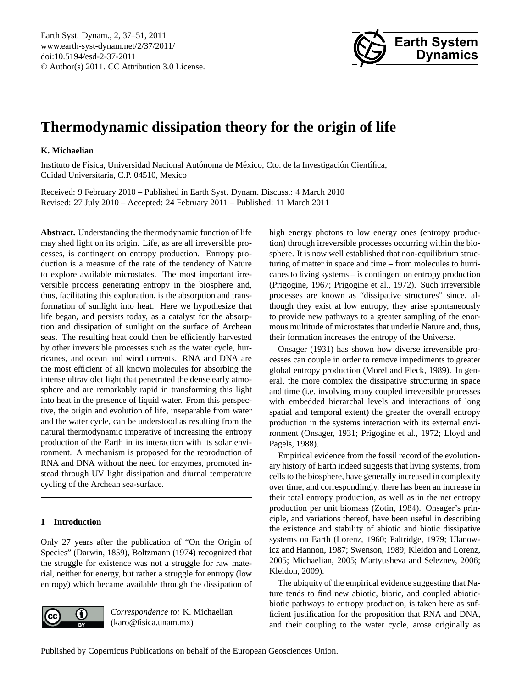<span id="page-0-0"></span>Earth Syst. Dynam., 2, 37–51, 2011 www.earth-syst-dynam.net/2/37/2011/ doi:10.5194/esd-2-37-2011 © Author(s) 2011. CC Attribution 3.0 License.



# **Thermodynamic dissipation theory for the origin of life**

# **K. Michaelian**

Instituto de Física, Universidad Nacional Autónoma de México, Cto. de la Investigación Científica, Cuidad Universitaria, C.P. 04510, Mexico

Received: 9 February 2010 – Published in Earth Syst. Dynam. Discuss.: 4 March 2010 Revised: 27 July 2010 – Accepted: 24 February 2011 – Published: 11 March 2011

**Abstract.** Understanding the thermodynamic function of life may shed light on its origin. Life, as are all irreversible processes, is contingent on entropy production. Entropy production is a measure of the rate of the tendency of Nature to explore available microstates. The most important irreversible process generating entropy in the biosphere and, thus, facilitating this exploration, is the absorption and transformation of sunlight into heat. Here we hypothesize that life began, and persists today, as a catalyst for the absorption and dissipation of sunlight on the surface of Archean seas. The resulting heat could then be efficiently harvested by other irreversible processes such as the water cycle, hurricanes, and ocean and wind currents. RNA and DNA are the most efficient of all known molecules for absorbing the intense ultraviolet light that penetrated the dense early atmosphere and are remarkably rapid in transforming this light into heat in the presence of liquid water. From this perspective, the origin and evolution of life, inseparable from water and the water cycle, can be understood as resulting from the natural thermodynamic imperative of increasing the entropy production of the Earth in its interaction with its solar environment. A mechanism is proposed for the reproduction of RNA and DNA without the need for enzymes, promoted instead through UV light dissipation and diurnal temperature cycling of the Archean sea-surface.

# **1 Introduction**

Only 27 years after the publication of "On the Origin of Species" (Darwin, 1859), Boltzmann (1974) recognized that the struggle for existence was not a struggle for raw material, neither for energy, but rather a struggle for entropy (low entropy) which became available through the dissipation of



*Correspondence to:* K. Michaelian (karo@fisica.unam.mx)

high energy photons to low energy ones (entropy production) through irreversible processes occurring within the biosphere. It is now well established that non-equilibrium structuring of matter in space and time – from molecules to hurricanes to living systems – is contingent on entropy production (Prigogine, 1967; Prigogine et al., 1972). Such irreversible processes are known as "dissipative structures" since, although they exist at low entropy, they arise spontaneously to provide new pathways to a greater sampling of the enormous multitude of microstates that underlie Nature and, thus, their formation increases the entropy of the Universe.

Onsager (1931) has shown how diverse irreversible processes can couple in order to remove impediments to greater global entropy production (Morel and Fleck, 1989). In general, the more complex the dissipative structuring in space and time (i.e. involving many coupled irreversible processes with embedded hierarchal levels and interactions of long spatial and temporal extent) the greater the overall entropy production in the systems interaction with its external environment (Onsager, 1931; Prigogine et al., 1972; Lloyd and Pagels, 1988).

Empirical evidence from the fossil record of the evolutionary history of Earth indeed suggests that living systems, from cells to the biosphere, have generally increased in complexity over time, and correspondingly, there has been an increase in their total entropy production, as well as in the net entropy production per unit biomass (Zotin, 1984). Onsager's principle, and variations thereof, have been useful in describing the existence and stability of abiotic and biotic dissipative systems on Earth (Lorenz, 1960; Paltridge, 1979; Ulanowicz and Hannon, 1987; Swenson, 1989; Kleidon and Lorenz, 2005; Michaelian, 2005; Martyusheva and Seleznev, 2006; Kleidon, 2009).

The ubiquity of the empirical evidence suggesting that Nature tends to find new abiotic, biotic, and coupled abioticbiotic pathways to entropy production, is taken here as sufficient justification for the proposition that RNA and DNA, and their coupling to the water cycle, arose originally as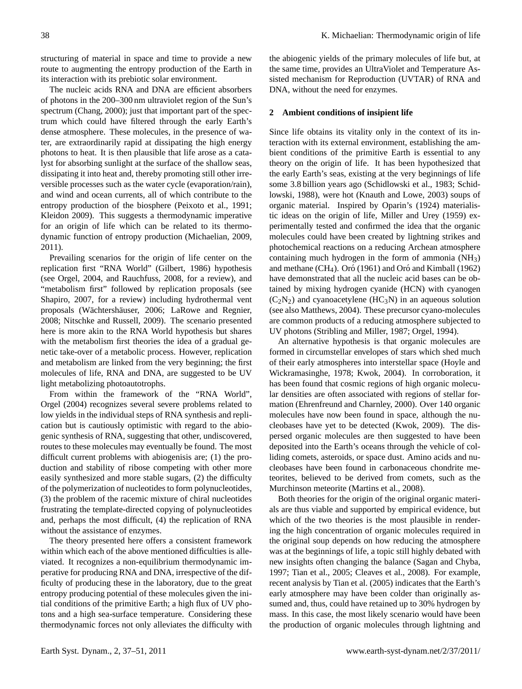structuring of material in space and time to provide a new route to augmenting the entropy production of the Earth in its interaction with its prebiotic solar environment.

The nucleic acids RNA and DNA are efficient absorbers of photons in the 200–300 nm ultraviolet region of the Sun's spectrum (Chang, 2000); just that important part of the spectrum which could have filtered through the early Earth's dense atmosphere. These molecules, in the presence of water, are extraordinarily rapid at dissipating the high energy photons to heat. It is then plausible that life arose as a catalyst for absorbing sunlight at the surface of the shallow seas, dissipating it into heat and, thereby promoting still other irreversible processes such as the water cycle (evaporation/rain), and wind and ocean currents, all of which contribute to the entropy production of the biosphere (Peixoto et al., 1991; Kleidon 2009). This suggests a thermodynamic imperative for an origin of life which can be related to its thermodynamic function of entropy production (Michaelian, 2009, 2011).

Prevailing scenarios for the origin of life center on the replication first "RNA World" (Gilbert, 1986) hypothesis (see Orgel, 2004, and Rauchfuss, 2008, for a review), and "metabolism first" followed by replication proposals (see Shapiro, 2007, for a review) including hydrothermal vent proposals (Wächtershäuser, 2006; LaRowe and Regnier, 2008; Nitschke and Russell, 2009). The scenario presented here is more akin to the RNA World hypothesis but shares with the metabolism first theories the idea of a gradual genetic take-over of a metabolic process. However, replication and metabolism are linked from the very beginning; the first molecules of life, RNA and DNA, are suggested to be UV light metabolizing photoautotrophs.

From within the framework of the "RNA World", Orgel (2004) recognizes several severe problems related to low yields in the individual steps of RNA synthesis and replication but is cautiously optimistic with regard to the abiogenic synthesis of RNA, suggesting that other, undiscovered, routes to these molecules may eventually be found. The most difficult current problems with abiogenisis are; (1) the production and stability of ribose competing with other more easily synthesized and more stable sugars, (2) the difficulty of the polymerization of nucleotides to form polynucleotides, (3) the problem of the racemic mixture of chiral nucleotides frustrating the template-directed copying of polynucleotides and, perhaps the most difficult, (4) the replication of RNA without the assistance of enzymes.

The theory presented here offers a consistent framework within which each of the above mentioned difficulties is alleviated. It recognizes a non-equilibrium thermodynamic imperative for producing RNA and DNA, irrespective of the difficulty of producing these in the laboratory, due to the great entropy producing potential of these molecules given the initial conditions of the primitive Earth; a high flux of UV photons and a high sea-surface temperature. Considering these thermodynamic forces not only alleviates the difficulty with the abiogenic yields of the primary molecules of life but, at the same time, provides an UltraViolet and Temperature Assisted mechanism for Reproduction (UVTAR) of RNA and DNA, without the need for enzymes.

#### **2 Ambient conditions of insipient life**

Since life obtains its vitality only in the context of its interaction with its external environment, establishing the ambient conditions of the primitive Earth is essential to any theory on the origin of life. It has been hypothesized that the early Earth's seas, existing at the very beginnings of life some 3.8 billion years ago (Schidlowski et al., 1983; Schidlowski, 1988), were hot (Knauth and Lowe, 2003) soups of organic material. Inspired by Oparin's (1924) materialistic ideas on the origin of life, Miller and Urey (1959) experimentally tested and confirmed the idea that the organic molecules could have been created by lightning strikes and photochemical reactions on a reducing Archean atmosphere containing much hydrogen in the form of ammonia (NH3) and methane (CH<sub>4</sub>). Oró (1961) and Oró and Kimball (1962) have demonstrated that all the nucleic acid bases can be obtained by mixing hydrogen cyanide (HCN) with cyanogen  $(C_2N_2)$  and cyanoacetylene (HC<sub>3</sub>N) in an aqueous solution (see also Matthews, 2004). These precursor cyano-molecules are common products of a reducing atmosphere subjected to UV photons (Stribling and Miller, 1987; Orgel, 1994).

An alternative hypothesis is that organic molecules are formed in circumstellar envelopes of stars which shed much of their early atmospheres into interstellar space (Hoyle and Wickramasinghe, 1978; Kwok, 2004). In corroboration, it has been found that cosmic regions of high organic molecular densities are often associated with regions of stellar formation (Ehrenfreund and Charnley, 2000). Over 140 organic molecules have now been found in space, although the nucleobases have yet to be detected (Kwok, 2009). The dispersed organic molecules are then suggested to have been deposited into the Earth's oceans through the vehicle of colliding comets, asteroids, or space dust. Amino acids and nucleobases have been found in carbonaceous chondrite meteorites, believed to be derived from comets, such as the Murchinson meteorite (Martins et al., 2008).

Both theories for the origin of the original organic materials are thus viable and supported by empirical evidence, but which of the two theories is the most plausible in rendering the high concentration of organic molecules required in the original soup depends on how reducing the atmosphere was at the beginnings of life, a topic still highly debated with new insights often changing the balance (Sagan and Chyba, 1997; Tian et al., 2005; Cleaves et al., 2008). For example, recent analysis by Tian et al. (2005) indicates that the Earth's early atmosphere may have been colder than originally assumed and, thus, could have retained up to 30% hydrogen by mass. In this case, the most likely scenario would have been the production of organic molecules through lightning and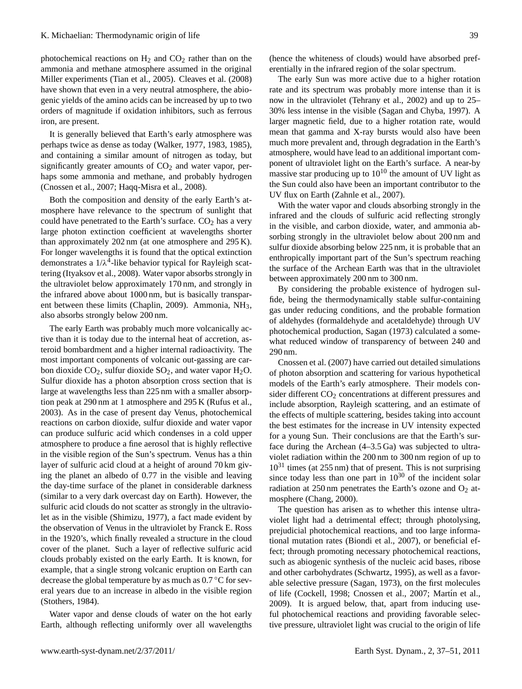photochemical reactions on  $H_2$  and  $CO_2$  rather than on the ammonia and methane atmosphere assumed in the original Miller experiments (Tian et al., 2005). Cleaves et al. (2008) have shown that even in a very neutral atmosphere, the abiogenic yields of the amino acids can be increased by up to two orders of magnitude if oxidation inhibitors, such as ferrous iron, are present.

It is generally believed that Earth's early atmosphere was perhaps twice as dense as today (Walker, 1977, 1983, 1985), and containing a similar amount of nitrogen as today, but significantly greater amounts of  $CO<sub>2</sub>$  and water vapor, perhaps some ammonia and methane, and probably hydrogen (Cnossen et al., 2007; Haqq-Misra et al., 2008).

Both the composition and density of the early Earth's atmosphere have relevance to the spectrum of sunlight that could have penetrated to the Earth's surface.  $CO<sub>2</sub>$  has a very large photon extinction coefficient at wavelengths shorter than approximately 202 nm (at one atmosphere and 295 K). For longer wavelengths it is found that the optical extinction demonstrates a  $1/\lambda^4$ -like behavior typical for Rayleigh scattering (Ityaksov et al., 2008). Water vapor absorbs strongly in the ultraviolet below approximately 170 nm, and strongly in the infrared above about 1000 nm, but is basically transparent between these limits (Chaplin, 2009). Ammonia, NH<sub>3</sub>, also absorbs strongly below 200 nm.

The early Earth was probably much more volcanically active than it is today due to the internal heat of accretion, asteroid bombardment and a higher internal radioactivity. The most important components of volcanic out-gassing are carbon dioxide  $CO_2$ , sulfur dioxide  $SO_2$ , and water vapor  $H_2O$ . Sulfur dioxide has a photon absorption cross section that is large at wavelengths less than 225 nm with a smaller absorption peak at 290 nm at 1 atmosphere and 295 K (Rufus et al., 2003). As in the case of present day Venus, photochemical reactions on carbon dioxide, sulfur dioxide and water vapor can produce sulfuric acid which condenses in a cold upper atmosphere to produce a fine aerosol that is highly reflective in the visible region of the Sun's spectrum. Venus has a thin layer of sulfuric acid cloud at a height of around 70 km giving the planet an albedo of 0.77 in the visible and leaving the day-time surface of the planet in considerable darkness (similar to a very dark overcast day on Earth). However, the sulfuric acid clouds do not scatter as strongly in the ultraviolet as in the visible (Shimizu, 1977), a fact made evident by the observation of Venus in the ultraviolet by Franck E. Ross in the 1920's, which finally revealed a structure in the cloud cover of the planet. Such a layer of reflective sulfuric acid clouds probably existed on the early Earth. It is known, for example, that a single strong volcanic eruption on Earth can decrease the global temperature by as much as 0.7 ◦C for several years due to an increase in albedo in the visible region (Stothers, 1984).

Water vapor and dense clouds of water on the hot early Earth, although reflecting uniformly over all wavelengths

(hence the whiteness of clouds) would have absorbed preferentially in the infrared region of the solar spectrum.

The early Sun was more active due to a higher rotation rate and its spectrum was probably more intense than it is now in the ultraviolet (Tehrany et al., 2002) and up to 25– 30% less intense in the visible (Sagan and Chyba, 1997). A larger magnetic field, due to a higher rotation rate, would mean that gamma and X-ray bursts would also have been much more prevalent and, through degradation in the Earth's atmosphere, would have lead to an additional important component of ultraviolet light on the Earth's surface. A near-by massive star producing up to  $10^{10}$  the amount of UV light as the Sun could also have been an important contributor to the UV flux on Earth (Zahnle et al., 2007).

With the water vapor and clouds absorbing strongly in the infrared and the clouds of sulfuric acid reflecting strongly in the visible, and carbon dioxide, water, and ammonia absorbing strongly in the ultraviolet below about 200 nm and sulfur dioxide absorbing below 225 nm, it is probable that an enthropically important part of the Sun's spectrum reaching the surface of the Archean Earth was that in the ultraviolet between approximately 200 nm to 300 nm.

By considering the probable existence of hydrogen sulfide, being the thermodynamically stable sulfur-containing gas under reducing conditions, and the probable formation of aldehydes (formaldehyde and acetaldehyde) through UV photochemical production, Sagan (1973) calculated a somewhat reduced window of transparency of between 240 and 290 nm.

Cnossen et al. (2007) have carried out detailed simulations of photon absorption and scattering for various hypothetical models of the Earth's early atmosphere. Their models consider different  $CO<sub>2</sub>$  concentrations at different pressures and include absorption, Rayleigh scattering, and an estimate of the effects of multiple scattering, besides taking into account the best estimates for the increase in UV intensity expected for a young Sun. Their conclusions are that the Earth's surface during the Archean (4–3.5 Ga) was subjected to ultraviolet radiation within the 200 nm to 300 nm region of up to  $10^{31}$  times (at 255 nm) that of present. This is not surprising since today less than one part in  $10^{30}$  of the incident solar radiation at  $250 \text{ nm}$  penetrates the Earth's ozone and  $O_2$  atmosphere (Chang, 2000).

The question has arisen as to whether this intense ultraviolet light had a detrimental effect; through photolysing, prejudicial photochemical reactions, and too large informational mutation rates (Biondi et al., 2007), or beneficial effect; through promoting necessary photochemical reactions, such as abiogenic synthesis of the nucleic acid bases, ribose and other carbohydrates (Schwartz, 1995), as well as a favorable selective pressure (Sagan, 1973), on the first molecules of life (Cockell, 1998; Cnossen et al., 2007; Martín et al., 2009). It is argued below, that, apart from inducing useful photochemical reactions and providing favorable selective pressure, ultraviolet light was crucial to the origin of life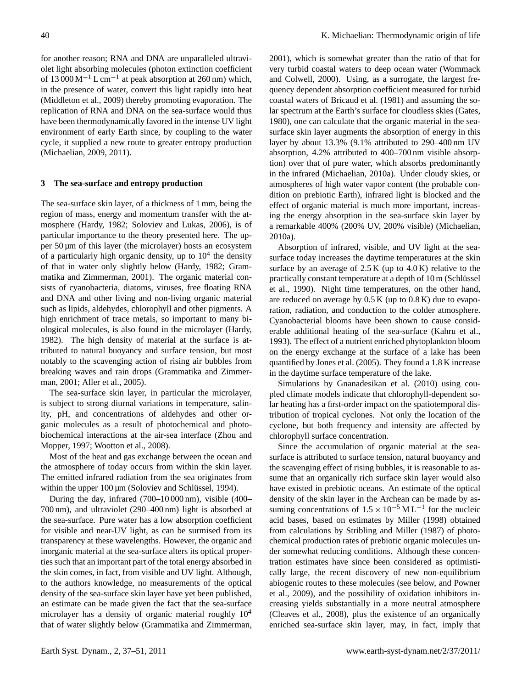for another reason; RNA and DNA are unparalleled ultraviolet light absorbing molecules (photon extinction coefficient of 13 000  $M^{-1}$  L cm<sup>-1</sup> at peak absorption at 260 nm) which, in the presence of water, convert this light rapidly into heat (Middleton et al., 2009) thereby promoting evaporation. The replication of RNA and DNA on the sea-surface would thus have been thermodynamically favored in the intense UV light environment of early Earth since, by coupling to the water cycle, it supplied a new route to greater entropy production (Michaelian, 2009, 2011).

#### **3 The sea-surface and entropy production**

The sea-surface skin layer, of a thickness of 1 mm, being the region of mass, energy and momentum transfer with the atmosphere (Hardy, 1982; Soloviev and Lukas, 2006), is of particular importance to the theory presented here. The upper 50 µm of this layer (the microlayer) hosts an ecosystem of a particularly high organic density, up to  $10<sup>4</sup>$  the density of that in water only slightly below (Hardy, 1982; Grammatika and Zimmerman, 2001). The organic material consists of cyanobacteria, diatoms, viruses, free floating RNA and DNA and other living and non-living organic material such as lipids, aldehydes, chlorophyll and other pigments. A high enrichment of trace metals, so important to many biological molecules, is also found in the microlayer (Hardy, 1982). The high density of material at the surface is attributed to natural buoyancy and surface tension, but most notably to the scavenging action of rising air bubbles from breaking waves and rain drops (Grammatika and Zimmerman, 2001; Aller et al., 2005).

The sea-surface skin layer, in particular the microlayer, is subject to strong diurnal variations in temperature, salinity, pH, and concentrations of aldehydes and other organic molecules as a result of photochemical and photobiochemical interactions at the air-sea interface (Zhou and Mopper, 1997; Wootton et al., 2008).

Most of the heat and gas exchange between the ocean and the atmosphere of today occurs from within the skin layer. The emitted infrared radiation from the sea originates from within the upper  $100 \mu m$  (Soloviev and Schlüssel, 1994).

During the day, infrared (700–10 000 nm), visible (400– 700 nm), and ultraviolet (290–400 nm) light is absorbed at the sea-surface. Pure water has a low absorption coefficient for visible and near-UV light, as can be surmised from its transparency at these wavelengths. However, the organic and inorganic material at the sea-surface alters its optical properties such that an important part of the total energy absorbed in the skin comes, in fact, from visible and UV light. Although, to the authors knowledge, no measurements of the optical density of the sea-surface skin layer have yet been published, an estimate can be made given the fact that the sea-surface microlayer has a density of organic material roughly  $10<sup>4</sup>$ that of water slightly below (Grammatika and Zimmerman, 2001), which is somewhat greater than the ratio of that for very turbid coastal waters to deep ocean water (Wommack and Colwell, 2000). Using, as a surrogate, the largest frequency dependent absorption coefficient measured for turbid coastal waters of Bricaud et al. (1981) and assuming the solar spectrum at the Earth's surface for cloudless skies (Gates, 1980), one can calculate that the organic material in the seasurface skin layer augments the absorption of energy in this layer by about 13.3% (9.1% attributed to 290–400 nm UV absorption, 4.2% attributed to 400–700 nm visible absorption) over that of pure water, which absorbs predominantly in the infrared (Michaelian, 2010a). Under cloudy skies, or atmospheres of high water vapor content (the probable condition on prebiotic Earth), infrared light is blocked and the effect of organic material is much more important, increasing the energy absorption in the sea-surface skin layer by a remarkable 400% (200% UV, 200% visible) (Michaelian, 2010a).

Absorption of infrared, visible, and UV light at the seasurface today increases the daytime temperatures at the skin surface by an average of  $2.5 K$  (up to  $4.0 K$ ) relative to the practically constant temperature at a depth of 10 m (Schlüssel et al., 1990). Night time temperatures, on the other hand, are reduced on average by 0.5 K (up to 0.8 K) due to evaporation, radiation, and conduction to the colder atmosphere. Cyanobacterial blooms have been shown to cause considerable additional heating of the sea-surface (Kahru et al., 1993). The effect of a nutrient enriched phytoplankton bloom on the energy exchange at the surface of a lake has been quantified by Jones et al. (2005). They found a 1.8 K increase in the daytime surface temperature of the lake.

Simulations by Gnanadesikan et al. (2010) using coupled climate models indicate that chlorophyll-dependent solar heating has a first-order impact on the spatiotemporal distribution of tropical cyclones. Not only the location of the cyclone, but both frequency and intensity are affected by chlorophyll surface concentration.

Since the accumulation of organic material at the seasurface is attributed to surface tension, natural buoyancy and the scavenging effect of rising bubbles, it is reasonable to assume that an organically rich surface skin layer would also have existed in prebiotic oceans. An estimate of the optical density of the skin layer in the Archean can be made by assuming concentrations of  $1.5 \times 10^{-5}$  ML<sup>-1</sup> for the nucleic acid bases, based on estimates by Miller (1998) obtained from calculations by Stribling and Miller (1987) of photochemical production rates of prebiotic organic molecules under somewhat reducing conditions. Although these concentration estimates have since been considered as optimistically large, the recent discovery of new non-equilibrium abiogenic routes to these molecules (see below, and Powner et al., 2009), and the possibility of oxidation inhibitors increasing yields substantially in a more neutral atmosphere (Cleaves et al., 2008), plus the existence of an organically enriched sea-surface skin layer, may, in fact, imply that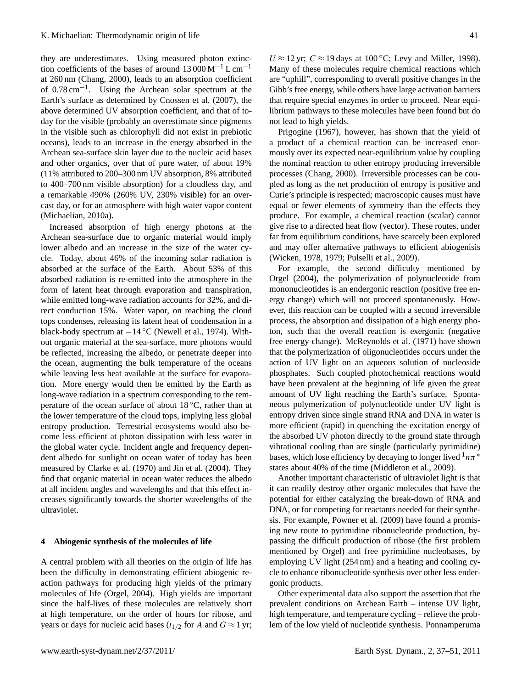they are underestimates. Using measured photon extinction coefficients of the bases of around  $13000 M^{-1}$  L cm<sup>-1</sup> at 260 nm (Chang, 2000), leads to an absorption coefficient of 0.78 cm−<sup>1</sup> . Using the Archean solar spectrum at the Earth's surface as determined by Cnossen et al. (2007), the above determined UV absorption coefficient, and that of today for the visible (probably an overestimate since pigments in the visible such as chlorophyll did not exist in prebiotic oceans), leads to an increase in the energy absorbed in the Archean sea-surface skin layer due to the nucleic acid bases and other organics, over that of pure water, of about 19% (11% attributed to 200–300 nm UV absorption, 8% attributed to 400–700 nm visible absorption) for a cloudless day, and a remarkable 490% (260% UV, 230% visible) for an overcast day, or for an atmosphere with high water vapor content (Michaelian, 2010a).

Increased absorption of high energy photons at the Archean sea-surface due to organic material would imply lower albedo and an increase in the size of the water cycle. Today, about 46% of the incoming solar radiation is absorbed at the surface of the Earth. About 53% of this absorbed radiation is re-emitted into the atmosphere in the form of latent heat through evaporation and transpiration, while emitted long-wave radiation accounts for 32%, and direct conduction 15%. Water vapor, on reaching the cloud tops condenses, releasing its latent heat of condensation in a black-body spectrum at −14 ◦C (Newell et al., 1974). Without organic material at the sea-surface, more photons would be reflected, increasing the albedo, or penetrate deeper into the ocean, augmenting the bulk temperature of the oceans while leaving less heat available at the surface for evaporation. More energy would then be emitted by the Earth as long-wave radiation in a spectrum corresponding to the temperature of the ocean surface of about 18 ◦C, rather than at the lower temperature of the cloud tops, implying less global entropy production. Terrestrial ecosystems would also become less efficient at photon dissipation with less water in the global water cycle. Incident angle and frequency dependent albedo for sunlight on ocean water of today has been measured by Clarke et al. (1970) and Jin et al. (2004). They find that organic material in ocean water reduces the albedo at all incident angles and wavelengths and that this effect increases significantly towards the shorter wavelengths of the ultraviolet.

#### **4 Abiogenic synthesis of the molecules of life**

A central problem with all theories on the origin of life has been the difficulty in demonstrating efficient abiogenic reaction pathways for producing high yields of the primary molecules of life (Orgel, 2004). High yields are important since the half-lives of these molecules are relatively short at high temperature, on the order of hours for ribose, and years or days for nucleic acid bases ( $t_{1/2}$  for A and  $G \approx 1$  yr;

 $U \approx 12$  yr;  $C \approx 19$  days at 100 °C; Levy and Miller, 1998). Many of these molecules require chemical reactions which are "uphill", corresponding to overall positive changes in the Gibb's free energy, while others have large activation barriers that require special enzymes in order to proceed. Near equilibrium pathways to these molecules have been found but do not lead to high yields.

Prigogine (1967), however, has shown that the yield of a product of a chemical reaction can be increased enormously over its expected near-equilibrium value by coupling the nominal reaction to other entropy producing irreversible processes (Chang, 2000). Irreversible processes can be coupled as long as the net production of entropy is positive and Curie's principle is respected; macroscopic causes must have equal or fewer elements of symmetry than the effects they produce. For example, a chemical reaction (scalar) cannot give rise to a directed heat flow (vector). These routes, under far from equilibrium conditions, have scarcely been explored and may offer alternative pathways to efficient abiogenisis (Wicken, 1978, 1979; Pulselli et al., 2009).

For example, the second difficulty mentioned by Orgel (2004), the polymerization of polynucleotide from mononucleotides is an endergonic reaction (positive free energy change) which will not proceed spontaneously. However, this reaction can be coupled with a second irreversible process, the absorption and dissipation of a high energy photon, such that the overall reaction is exergonic (negative free energy change). McReynolds et al. (1971) have shown that the polymerization of oligonucleotides occurs under the action of UV light on an aqueous solution of nucleoside phosphates. Such coupled photochemical reactions would have been prevalent at the beginning of life given the great amount of UV light reaching the Earth's surface. Spontaneous polymerization of polynucleotide under UV light is entropy driven since single strand RNA and DNA in water is more efficient (rapid) in quenching the excitation energy of the absorbed UV photon directly to the ground state through vibrational cooling than are single (particularly pyrimidine) bases, which lose efficiency by decaying to longer lived  $\frac{1}{n\pi^*}$ states about 40% of the time (Middleton et al., 2009).

Another important characteristic of ultraviolet light is that it can readily destroy other organic molecules that have the potential for either catalyzing the break-down of RNA and DNA, or for competing for reactants needed for their synthesis. For example, Powner et al. (2009) have found a promising new route to pyrimidine ribonucleotide production, bypassing the difficult production of ribose (the first problem mentioned by Orgel) and free pyrimidine nucleobases, by employing UV light (254 nm) and a heating and cooling cycle to enhance ribonucleotide synthesis over other less endergonic products.

Other experimental data also support the assertion that the prevalent conditions on Archean Earth – intense UV light, high temperature, and temperature cycling – relieve the problem of the low yield of nucleotide synthesis. Ponnamperuma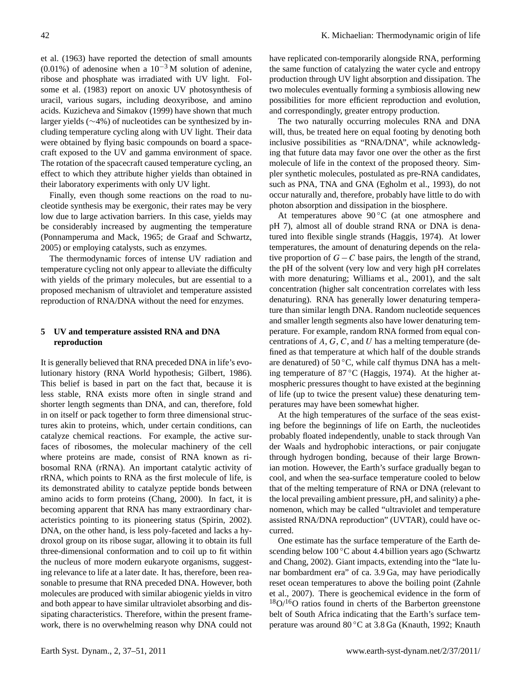et al. (1963) have reported the detection of small amounts (0.01%) of adenosine when a  $10^{-3}$  M solution of adenine, ribose and phosphate was irradiated with UV light. Folsome et al. (1983) report on anoxic UV photosynthesis of uracil, various sugars, including deoxyribose, and amino acids. Kuzicheva and Simakov (1999) have shown that much larger yields (∼4%) of nucleotides can be synthesized by including temperature cycling along with UV light. Their data were obtained by flying basic compounds on board a spacecraft exposed to the UV and gamma environment of space. The rotation of the spacecraft caused temperature cycling, an effect to which they attribute higher yields than obtained in their laboratory experiments with only UV light.

Finally, even though some reactions on the road to nucleotide synthesis may be exergonic, their rates may be very low due to large activation barriers. In this case, yields may be considerably increased by augmenting the temperature (Ponnamperuma and Mack, 1965; de Graaf and Schwartz, 2005) or employing catalysts, such as enzymes.

The thermodynamic forces of intense UV radiation and temperature cycling not only appear to alleviate the difficulty with yields of the primary molecules, but are essential to a proposed mechanism of ultraviolet and temperature assisted reproduction of RNA/DNA without the need for enzymes.

# **5 UV and temperature assisted RNA and DNA reproduction**

It is generally believed that RNA preceded DNA in life's evolutionary history (RNA World hypothesis; Gilbert, 1986). This belief is based in part on the fact that, because it is less stable, RNA exists more often in single strand and shorter length segments than DNA, and can, therefore, fold in on itself or pack together to form three dimensional structures akin to proteins, which, under certain conditions, can catalyze chemical reactions. For example, the active surfaces of ribosomes, the molecular machinery of the cell where proteins are made, consist of RNA known as ribosomal RNA (rRNA). An important catalytic activity of rRNA, which points to RNA as the first molecule of life, is its demonstrated ability to catalyze peptide bonds between amino acids to form proteins (Chang, 2000). In fact, it is becoming apparent that RNA has many extraordinary characteristics pointing to its pioneering status (Spirin, 2002). DNA, on the other hand, is less poly-faceted and lacks a hydroxol group on its ribose sugar, allowing it to obtain its full three-dimensional conformation and to coil up to fit within the nucleus of more modern eukaryote organisms, suggesting relevance to life at a later date. It has, therefore, been reasonable to presume that RNA preceded DNA. However, both molecules are produced with similar abiogenic yields in vitro and both appear to have similar ultraviolet absorbing and dissipating characteristics. Therefore, within the present framework, there is no overwhelming reason why DNA could not have replicated con-temporarily alongside RNA, performing the same function of catalyzing the water cycle and entropy production through UV light absorption and dissipation. The two molecules eventually forming a symbiosis allowing new possibilities for more efficient reproduction and evolution, and correspondingly, greater entropy production.

The two naturally occurring molecules RNA and DNA will, thus, be treated here on equal footing by denoting both inclusive possibilities as "RNA/DNA", while acknowledging that future data may favor one over the other as the first molecule of life in the context of the proposed theory. Simpler synthetic molecules, postulated as pre-RNA candidates, such as PNA, TNA and GNA (Egholm et al., 1993), do not occur naturally and, therefore, probably have little to do with photon absorption and dissipation in the biosphere.

At temperatures above  $90^{\circ}$ C (at one atmosphere and pH 7), almost all of double strand RNA or DNA is denatured into flexible single strands (Haggis, 1974). At lower temperatures, the amount of denaturing depends on the relative proportion of  $G-C$  base pairs, the length of the strand, the pH of the solvent (very low and very high pH correlates with more denaturing; Williams et al., 2001), and the salt concentration (higher salt concentration correlates with less denaturing). RNA has generally lower denaturing temperature than similar length DNA. Random nucleotide sequences and smaller length segments also have lower denaturing temperature. For example, random RNA formed from equal concentrations of  $A, G, C$ , and U has a melting temperature (defined as that temperature at which half of the double strands are denatured) of  $50^{\circ}$ C, while calf thymus DNA has a melting temperature of 87 ◦C (Haggis, 1974). At the higher atmospheric pressures thought to have existed at the beginning of life (up to twice the present value) these denaturing temperatures may have been somewhat higher.

At the high temperatures of the surface of the seas existing before the beginnings of life on Earth, the nucleotides probably floated independently, unable to stack through Van der Waals and hydrophobic interactions, or pair conjugate through hydrogen bonding, because of their large Brownian motion. However, the Earth's surface gradually began to cool, and when the sea-surface temperature cooled to below that of the melting temperature of RNA or DNA (relevant to the local prevailing ambient pressure, pH, and salinity) a phenomenon, which may be called "ultraviolet and temperature assisted RNA/DNA reproduction" (UVTAR), could have occurred.

One estimate has the surface temperature of the Earth descending below 100 ℃ about 4.4 billion years ago (Schwartz and Chang, 2002). Giant impacts, extending into the "late lunar bombardment era" of ca. 3.9 Ga, may have periodically reset ocean temperatures to above the boiling point (Zahnle et al., 2007). There is geochemical evidence in the form of  $18O/16O$  ratios found in cherts of the Barberton greenstone belt of South Africa indicating that the Earth's surface temperature was around 80 ◦C at 3.8 Ga (Knauth, 1992; Knauth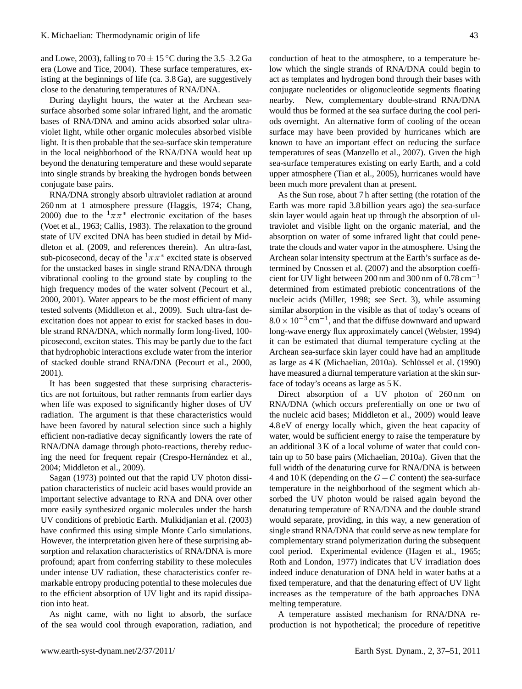and Lowe, 2003), falling to  $70 \pm 15$  °C during the 3.5–3.2 Ga era (Lowe and Tice, 2004). These surface temperatures, existing at the beginnings of life (ca. 3.8 Ga), are suggestively close to the denaturing temperatures of RNA/DNA.

During daylight hours, the water at the Archean seasurface absorbed some solar infrared light, and the aromatic bases of RNA/DNA and amino acids absorbed solar ultraviolet light, while other organic molecules absorbed visible light. It is then probable that the sea-surface skin temperature in the local neighborhood of the RNA/DNA would heat up beyond the denaturing temperature and these would separate into single strands by breaking the hydrogen bonds between conjugate base pairs.

RNA/DNA strongly absorb ultraviolet radiation at around 260 nm at 1 atmosphere pressure (Haggis, 1974; Chang, 2000) due to the  $1\pi\pi^*$  electronic excitation of the bases (Voet et al., 1963; Callis, 1983). The relaxation to the ground state of UV excited DNA has been studied in detail by Middleton et al. (2009, and references therein). An ultra-fast, sub-picosecond, decay of the  $\frac{1}{4}\pi\pi^*$  excited state is observed for the unstacked bases in single strand RNA/DNA through vibrational cooling to the ground state by coupling to the high frequency modes of the water solvent (Pecourt et al., 2000, 2001). Water appears to be the most efficient of many tested solvents (Middleton et al., 2009). Such ultra-fast deexcitation does not appear to exist for stacked bases in double strand RNA/DNA, which normally form long-lived, 100 picosecond, exciton states. This may be partly due to the fact that hydrophobic interactions exclude water from the interior of stacked double strand RNA/DNA (Pecourt et al., 2000, 2001).

It has been suggested that these surprising characteristics are not fortuitous, but rather remnants from earlier days when life was exposed to significantly higher doses of UV radiation. The argument is that these characteristics would have been favored by natural selection since such a highly efficient non-radiative decay significantly lowers the rate of RNA/DNA damage through photo-reactions, thereby reducing the need for frequent repair (Crespo-Hernández et al., 2004; Middleton et al., 2009).

Sagan (1973) pointed out that the rapid UV photon dissipation characteristics of nucleic acid bases would provide an important selective advantage to RNA and DNA over other more easily synthesized organic molecules under the harsh UV conditions of prebiotic Earth. Mulkidjanian et al. (2003) have confirmed this using simple Monte Carlo simulations. However, the interpretation given here of these surprising absorption and relaxation characteristics of RNA/DNA is more profound; apart from conferring stability to these molecules under intense UV radiation, these characteristics confer remarkable entropy producing potential to these molecules due to the efficient absorption of UV light and its rapid dissipation into heat.

As night came, with no light to absorb, the surface of the sea would cool through evaporation, radiation, and

conduction of heat to the atmosphere, to a temperature below which the single strands of RNA/DNA could begin to act as templates and hydrogen bond through their bases with conjugate nucleotides or oligonucleotide segments floating nearby. New, complementary double-strand RNA/DNA would thus be formed at the sea surface during the cool periods overnight. An alternative form of cooling of the ocean surface may have been provided by hurricanes which are known to have an important effect on reducing the surface temperatures of seas (Manzello et al., 2007). Given the high sea-surface temperatures existing on early Earth, and a cold upper atmosphere (Tian et al., 2005), hurricanes would have been much more prevalent than at present.

As the Sun rose, about 7 h after setting (the rotation of the Earth was more rapid 3.8 billion years ago) the sea-surface skin layer would again heat up through the absorption of ultraviolet and visible light on the organic material, and the absorption on water of some infrared light that could penetrate the clouds and water vapor in the atmosphere. Using the Archean solar intensity spectrum at the Earth's surface as determined by Cnossen et al. (2007) and the absorption coefficient for UV light between 200 nm and 300 nm of  $0.78 \text{ cm}^{-1}$ determined from estimated prebiotic concentrations of the nucleic acids (Miller, 1998; see Sect. 3), while assuming similar absorption in the visible as that of today's oceans of  $8.0 \times 10^{-3}$  cm<sup>-1</sup>, and that the diffuse downward and upward long-wave energy flux approximately cancel (Webster, 1994) it can be estimated that diurnal temperature cycling at the Archean sea-surface skin layer could have had an amplitude as large as  $4K$  (Michaelian, 2010a). Schlüssel et al. (1990) have measured a diurnal temperature variation at the skin surface of today's oceans as large as 5 K.

Direct absorption of a UV photon of 260 nm on RNA/DNA (which occurs preferentially on one or two of the nucleic acid bases; Middleton et al., 2009) would leave 4.8 eV of energy locally which, given the heat capacity of water, would be sufficient energy to raise the temperature by an additional 3 K of a local volume of water that could contain up to 50 base pairs (Michaelian, 2010a). Given that the full width of the denaturing curve for RNA/DNA is between 4 and 10 K (depending on the G−C content) the sea-surface temperature in the neighborhood of the segment which absorbed the UV photon would be raised again beyond the denaturing temperature of RNA/DNA and the double strand would separate, providing, in this way, a new generation of single strand RNA/DNA that could serve as new template for complementary strand polymerization during the subsequent cool period. Experimental evidence (Hagen et al., 1965; Roth and London, 1977) indicates that UV irradiation does indeed induce denaturation of DNA held in water baths at a fixed temperature, and that the denaturing effect of UV light increases as the temperature of the bath approaches DNA melting temperature.

A temperature assisted mechanism for RNA/DNA reproduction is not hypothetical; the procedure of repetitive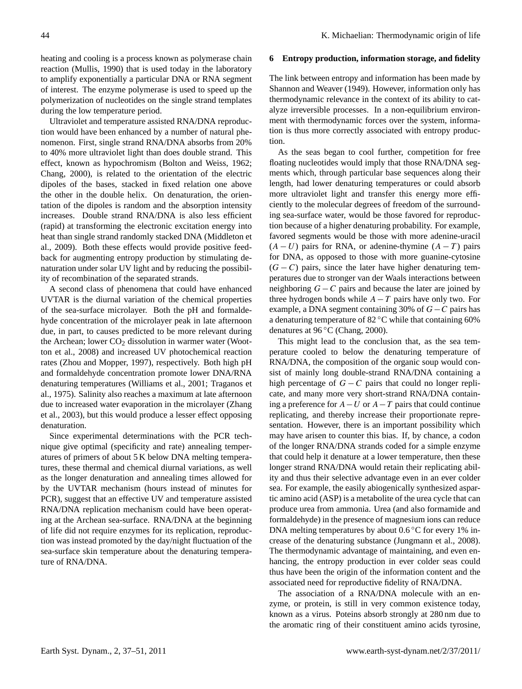heating and cooling is a process known as polymerase chain reaction (Mullis, 1990) that is used today in the laboratory to amplify exponentially a particular DNA or RNA segment of interest. The enzyme polymerase is used to speed up the polymerization of nucleotides on the single strand templates during the low temperature period.

Ultraviolet and temperature assisted RNA/DNA reproduction would have been enhanced by a number of natural phenomenon. First, single strand RNA/DNA absorbs from 20% to 40% more ultraviolet light than does double strand. This effect, known as hypochromism (Bolton and Weiss, 1962; Chang, 2000), is related to the orientation of the electric dipoles of the bases, stacked in fixed relation one above the other in the double helix. On denaturation, the orientation of the dipoles is random and the absorption intensity increases. Double strand RNA/DNA is also less efficient (rapid) at transforming the electronic excitation energy into heat than single strand randomly stacked DNA (Middleton et al., 2009). Both these effects would provide positive feedback for augmenting entropy production by stimulating denaturation under solar UV light and by reducing the possibility of recombination of the separated strands.

A second class of phenomena that could have enhanced UVTAR is the diurnal variation of the chemical properties of the sea-surface microlayer. Both the pH and formaldehyde concentration of the microlayer peak in late afternoon due, in part, to causes predicted to be more relevant during the Archean; lower  $CO<sub>2</sub>$  dissolution in warmer water (Wootton et al., 2008) and increased UV photochemical reaction rates (Zhou and Mopper, 1997), respectively. Both high pH and formaldehyde concentration promote lower DNA/RNA denaturing temperatures (Williams et al., 2001; Traganos et al., 1975). Salinity also reaches a maximum at late afternoon due to increased water evaporation in the microlayer (Zhang et al., 2003), but this would produce a lesser effect opposing denaturation.

Since experimental determinations with the PCR technique give optimal (specificity and rate) annealing temperatures of primers of about 5 K below DNA melting temperatures, these thermal and chemical diurnal variations, as well as the longer denaturation and annealing times allowed for by the UVTAR mechanism (hours instead of minutes for PCR), suggest that an effective UV and temperature assisted RNA/DNA replication mechanism could have been operating at the Archean sea-surface. RNA/DNA at the beginning of life did not require enzymes for its replication, reproduction was instead promoted by the day/night fluctuation of the sea-surface skin temperature about the denaturing temperature of RNA/DNA.

# **6 Entropy production, information storage, and fidelity**

The link between entropy and information has been made by Shannon and Weaver (1949). However, information only has thermodynamic relevance in the context of its ability to catalyze irreversible processes. In a non-equilibrium environment with thermodynamic forces over the system, information is thus more correctly associated with entropy production.

As the seas began to cool further, competition for free floating nucleotides would imply that those RNA/DNA segments which, through particular base sequences along their length, had lower denaturing temperatures or could absorb more ultraviolet light and transfer this energy more efficiently to the molecular degrees of freedom of the surrounding sea-surface water, would be those favored for reproduction because of a higher denaturing probability. For example, favored segments would be those with more adenine-uracil  $(A - U)$  pairs for RNA, or adenine-thymine  $(A - T)$  pairs for DNA, as opposed to those with more guanine-cytosine  $(G - C)$  pairs, since the later have higher denaturing temperatures due to stronger van der Waals interactions between neighboring  $G-C$  pairs and because the later are joined by three hydrogen bonds while  $A-T$  pairs have only two. For example, a DNA segment containing 30% of  $G-C$  pairs has a denaturing temperature of 82 ◦C while that containing 60% denatures at 96 ◦C (Chang, 2000).

This might lead to the conclusion that, as the sea temperature cooled to below the denaturing temperature of RNA/DNA, the composition of the organic soup would consist of mainly long double-strand RNA/DNA containing a high percentage of  $G - C$  pairs that could no longer replicate, and many more very short-strand RNA/DNA containing a preference for  $A-U$  or  $A-T$  pairs that could continue replicating, and thereby increase their proportionate representation. However, there is an important possibility which may have arisen to counter this bias. If, by chance, a codon of the longer RNA/DNA strands coded for a simple enzyme that could help it denature at a lower temperature, then these longer strand RNA/DNA would retain their replicating ability and thus their selective advantage even in an ever colder sea. For example, the easily abiogenically synthesized aspartic amino acid (ASP) is a metabolite of the urea cycle that can produce urea from ammonia. Urea (and also formamide and formaldehyde) in the presence of magnesium ions can reduce DNA melting temperatures by about  $0.6\degree$ C for every 1% increase of the denaturing substance (Jungmann et al., 2008). The thermodynamic advantage of maintaining, and even enhancing, the entropy production in ever colder seas could thus have been the origin of the information content and the associated need for reproductive fidelity of RNA/DNA.

The association of a RNA/DNA molecule with an enzyme, or protein, is still in very common existence today, known as a virus. Poteins absorb strongly at 280 nm due to the aromatic ring of their constituent amino acids tyrosine,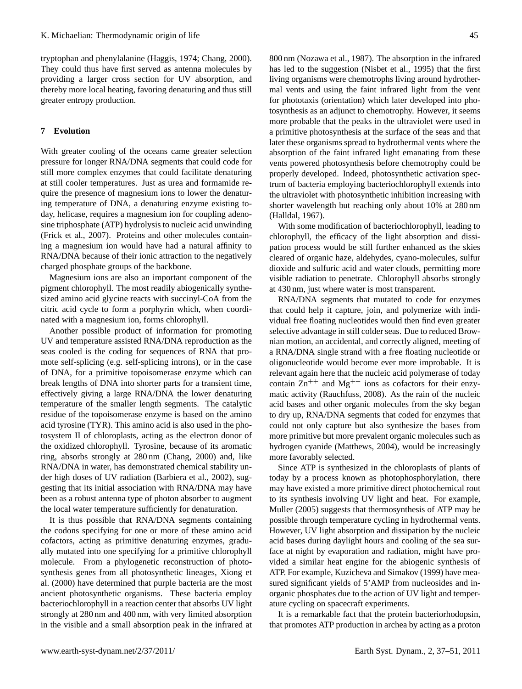tryptophan and phenylalanine (Haggis, 1974; Chang, 2000). They could thus have first served as antenna molecules by providing a larger cross section for UV absorption, and thereby more local heating, favoring denaturing and thus still greater entropy production.

## **7 Evolution**

With greater cooling of the oceans came greater selection pressure for longer RNA/DNA segments that could code for still more complex enzymes that could facilitate denaturing at still cooler temperatures. Just as urea and formamide require the presence of magnesium ions to lower the denaturing temperature of DNA, a denaturing enzyme existing today, helicase, requires a magnesium ion for coupling adenosine triphosphate (ATP) hydrolysis to nucleic acid unwinding (Frick et al., 2007). Proteins and other molecules containing a magnesium ion would have had a natural affinity to RNA/DNA because of their ionic attraction to the negatively charged phosphate groups of the backbone.

Magnesium ions are also an important component of the pigment chlorophyll. The most readily abiogenically synthesized amino acid glycine reacts with succinyl-CoA from the citric acid cycle to form a porphyrin which, when coordinated with a magnesium ion, forms chlorophyll.

Another possible product of information for promoting UV and temperature assisted RNA/DNA reproduction as the seas cooled is the coding for sequences of RNA that promote self-splicing (e.g. self-splicing introns), or in the case of DNA, for a primitive topoisomerase enzyme which can break lengths of DNA into shorter parts for a transient time, effectively giving a large RNA/DNA the lower denaturing temperature of the smaller length segments. The catalytic residue of the topoisomerase enzyme is based on the amino acid tyrosine (TYR). This amino acid is also used in the photosystem II of chloroplasts, acting as the electron donor of the oxidized chlorophyll. Tyrosine, because of its aromatic ring, absorbs strongly at 280 nm (Chang, 2000) and, like RNA/DNA in water, has demonstrated chemical stability under high doses of UV radiation (Barbiera et al., 2002), suggesting that its initial association with RNA/DNA may have been as a robust antenna type of photon absorber to augment the local water temperature sufficiently for denaturation.

It is thus possible that RNA/DNA segments containing the codons specifying for one or more of these amino acid cofactors, acting as primitive denaturing enzymes, gradually mutated into one specifying for a primitive chlorophyll molecule. From a phylogenetic reconstruction of photosynthesis genes from all photosynthetic lineages, Xiong et al. (2000) have determined that purple bacteria are the most ancient photosynthetic organisms. These bacteria employ bacteriochlorophyll in a reaction center that absorbs UV light strongly at 280 nm and 400 nm, with very limited absorption in the visible and a small absorption peak in the infrared at

800 nm (Nozawa et al., 1987). The absorption in the infrared has led to the suggestion (Nisbet et al., 1995) that the first living organisms were chemotrophs living around hydrothermal vents and using the faint infrared light from the vent for phototaxis (orientation) which later developed into photosynthesis as an adjunct to chemotrophy. However, it seems more probable that the peaks in the ultraviolet were used in a primitive photosynthesis at the surface of the seas and that later these organisms spread to hydrothermal vents where the absorption of the faint infrared light emanating from these vents powered photosynthesis before chemotrophy could be properly developed. Indeed, photosynthetic activation spectrum of bacteria employing bacteriochlorophyll extends into the ultraviolet with photosynthetic inhibition increasing with shorter wavelength but reaching only about 10% at 280 nm (Halldal, 1967).

With some modification of bacteriochlorophyll, leading to chlorophyll, the efficacy of the light absorption and dissipation process would be still further enhanced as the skies cleared of organic haze, aldehydes, cyano-molecules, sulfur dioxide and sulfuric acid and water clouds, permitting more visible radiation to penetrate. Chlorophyll absorbs strongly at 430 nm, just where water is most transparent.

RNA/DNA segments that mutated to code for enzymes that could help it capture, join, and polymerize with individual free floating nucleotides would then find even greater selective advantage in still colder seas. Due to reduced Brownian motion, an accidental, and correctly aligned, meeting of a RNA/DNA single strand with a free floating nucleotide or oligonucleotide would become ever more improbable. It is relevant again here that the nucleic acid polymerase of today contain  $\text{Zn}^{++}$  and  $\text{Mg}^{++}$  ions as cofactors for their enzymatic activity (Rauchfuss, 2008). As the rain of the nucleic acid bases and other organic molecules from the sky began to dry up, RNA/DNA segments that coded for enzymes that could not only capture but also synthesize the bases from more primitive but more prevalent organic molecules such as hydrogen cyanide (Matthews, 2004), would be increasingly more favorably selected.

Since ATP is synthesized in the chloroplasts of plants of today by a process known as photophosphorylation, there may have existed a more primitive direct photochemical rout to its synthesis involving UV light and heat. For example, Muller (2005) suggests that thermosynthesis of ATP may be possible through temperature cycling in hydrothermal vents. However, UV light absorption and dissipation by the nucleic acid bases during daylight hours and cooling of the sea surface at night by evaporation and radiation, might have provided a similar heat engine for the abiogenic synthesis of ATP. For example, Kuzicheva and Simakov (1999) have measured significant yields of 5'AMP from nucleosides and inorganic phosphates due to the action of UV light and temperature cycling on spacecraft experiments.

It is a remarkable fact that the protein bacteriorhodopsin, that promotes ATP production in archea by acting as a proton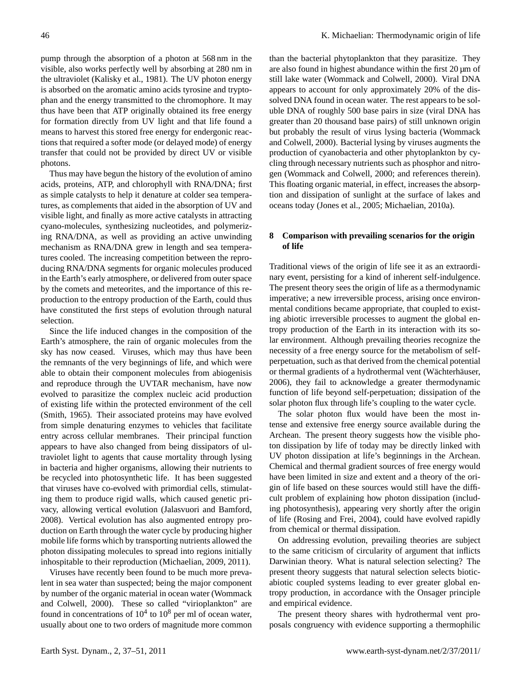pump through the absorption of a photon at 568 nm in the visible, also works perfectly well by absorbing at 280 nm in the ultraviolet (Kalisky et al., 1981). The UV photon energy is absorbed on the aromatic amino acids tyrosine and tryptophan and the energy transmitted to the chromophore. It may thus have been that ATP originally obtained its free energy for formation directly from UV light and that life found a means to harvest this stored free energy for endergonic reactions that required a softer mode (or delayed mode) of energy transfer that could not be provided by direct UV or visible photons.

Thus may have begun the history of the evolution of amino acids, proteins, ATP, and chlorophyll with RNA/DNA; first as simple catalysts to help it denature at colder sea temperatures, as complements that aided in the absorption of UV and visible light, and finally as more active catalysts in attracting cyano-molecules, synthesizing nucleotides, and polymerizing RNA/DNA, as well as providing an active unwinding mechanism as RNA/DNA grew in length and sea temperatures cooled. The increasing competition between the reproducing RNA/DNA segments for organic molecules produced in the Earth's early atmosphere, or delivered from outer space by the comets and meteorites, and the importance of this reproduction to the entropy production of the Earth, could thus have constituted the first steps of evolution through natural selection.

Since the life induced changes in the composition of the Earth's atmosphere, the rain of organic molecules from the sky has now ceased. Viruses, which may thus have been the remnants of the very beginnings of life, and which were able to obtain their component molecules from abiogenisis and reproduce through the UVTAR mechanism, have now evolved to parasitize the complex nucleic acid production of existing life within the protected environment of the cell (Smith, 1965). Their associated proteins may have evolved from simple denaturing enzymes to vehicles that facilitate entry across cellular membranes. Their principal function appears to have also changed from being dissipators of ultraviolet light to agents that cause mortality through lysing in bacteria and higher organisms, allowing their nutrients to be recycled into photosynthetic life. It has been suggested that viruses have co-evolved with primordial cells, stimulating them to produce rigid walls, which caused genetic privacy, allowing vertical evolution (Jalasvuori and Bamford, 2008). Vertical evolution has also augmented entropy production on Earth through the water cycle by producing higher mobile life forms which by transporting nutrients allowed the photon dissipating molecules to spread into regions initially inhospitable to their reproduction (Michaelian, 2009, 2011).

Viruses have recently been found to be much more prevalent in sea water than suspected; being the major component by number of the organic material in ocean water (Wommack and Colwell, 2000). These so called "virioplankton" are found in concentrations of  $10^4$  to  $10^8$  per ml of ocean water, usually about one to two orders of magnitude more common than the bacterial phytoplankton that they parasitize. They are also found in highest abundance within the first 20 µm of still lake water (Wommack and Colwell, 2000). Viral DNA appears to account for only approximately 20% of the dissolved DNA found in ocean water. The rest appears to be soluble DNA of roughly 500 base pairs in size (viral DNA has greater than 20 thousand base pairs) of still unknown origin but probably the result of virus lysing bacteria (Wommack and Colwell, 2000). Bacterial lysing by viruses augments the production of cyanobacteria and other phytoplankton by cycling through necessary nutrients such as phosphor and nitrogen (Wommack and Colwell, 2000; and references therein). This floating organic material, in effect, increases the absorption and dissipation of sunlight at the surface of lakes and oceans today (Jones et al., 2005; Michaelian, 2010a).

#### **8 Comparison with prevailing scenarios for the origin of life**

Traditional views of the origin of life see it as an extraordinary event, persisting for a kind of inherent self-indulgence. The present theory sees the origin of life as a thermodynamic imperative; a new irreversible process, arising once environmental conditions became appropriate, that coupled to existing abiotic irreversible processes to augment the global entropy production of the Earth in its interaction with its solar environment. Although prevailing theories recognize the necessity of a free energy source for the metabolism of selfperpetuation, such as that derived from the chemical potential or thermal gradients of a hydrothermal vent (Wächterhäuser, 2006), they fail to acknowledge a greater thermodynamic function of life beyond self-perpetuation; dissipation of the solar photon flux through life's coupling to the water cycle.

The solar photon flux would have been the most intense and extensive free energy source available during the Archean. The present theory suggests how the visible photon dissipation by life of today may be directly linked with UV photon dissipation at life's beginnings in the Archean. Chemical and thermal gradient sources of free energy would have been limited in size and extent and a theory of the origin of life based on these sources would still have the difficult problem of explaining how photon dissipation (including photosynthesis), appearing very shortly after the origin of life (Rosing and Frei, 2004), could have evolved rapidly from chemical or thermal dissipation.

On addressing evolution, prevailing theories are subject to the same criticism of circularity of argument that inflicts Darwinian theory. What is natural selection selecting? The present theory suggests that natural selection selects bioticabiotic coupled systems leading to ever greater global entropy production, in accordance with the Onsager principle and empirical evidence.

The present theory shares with hydrothermal vent proposals congruency with evidence supporting a thermophilic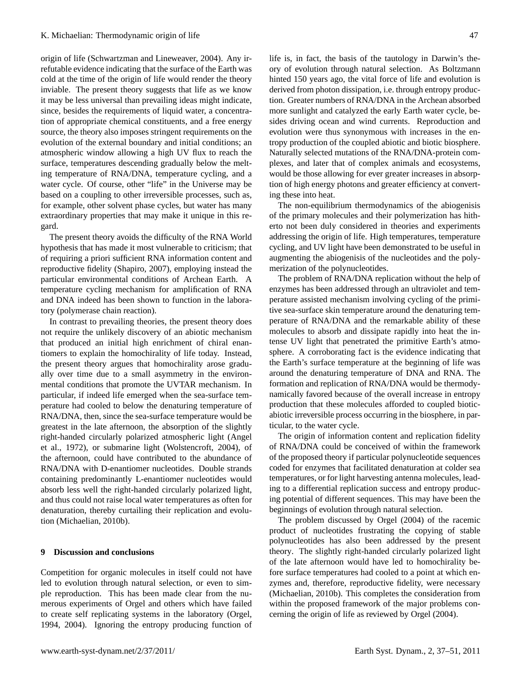origin of life (Schwartzman and Lineweaver, 2004). Any irrefutable evidence indicating that the surface of the Earth was cold at the time of the origin of life would render the theory inviable. The present theory suggests that life as we know it may be less universal than prevailing ideas might indicate, since, besides the requirements of liquid water, a concentration of appropriate chemical constituents, and a free energy source, the theory also imposes stringent requirements on the evolution of the external boundary and initial conditions; an atmospheric window allowing a high UV flux to reach the surface, temperatures descending gradually below the melting temperature of RNA/DNA, temperature cycling, and a water cycle. Of course, other "life" in the Universe may be based on a coupling to other irreversible processes, such as, for example, other solvent phase cycles, but water has many extraordinary properties that may make it unique in this regard.

The present theory avoids the difficulty of the RNA World hypothesis that has made it most vulnerable to criticism; that of requiring a priori sufficient RNA information content and reproductive fidelity (Shapiro, 2007), employing instead the particular environmental conditions of Archean Earth. A temperature cycling mechanism for amplification of RNA and DNA indeed has been shown to function in the laboratory (polymerase chain reaction).

In contrast to prevailing theories, the present theory does not require the unlikely discovery of an abiotic mechanism that produced an initial high enrichment of chiral enantiomers to explain the homochirality of life today. Instead, the present theory argues that homochirality arose gradually over time due to a small asymmetry in the environmental conditions that promote the UVTAR mechanism. In particular, if indeed life emerged when the sea-surface temperature had cooled to below the denaturing temperature of RNA/DNA, then, since the sea-surface temperature would be greatest in the late afternoon, the absorption of the slightly right-handed circularly polarized atmospheric light (Angel et al., 1972), or submarine light (Wolstencroft, 2004), of the afternoon, could have contributed to the abundance of RNA/DNA with D-enantiomer nucleotides. Double strands containing predominantly L-enantiomer nucleotides would absorb less well the right-handed circularly polarized light, and thus could not raise local water temperatures as often for denaturation, thereby curtailing their replication and evolution (Michaelian, 2010b).

#### **9 Discussion and conclusions**

Competition for organic molecules in itself could not have led to evolution through natural selection, or even to simple reproduction. This has been made clear from the numerous experiments of Orgel and others which have failed to create self replicating systems in the laboratory (Orgel, 1994, 2004). Ignoring the entropy producing function of life is, in fact, the basis of the tautology in Darwin's theory of evolution through natural selection. As Boltzmann hinted 150 years ago, the vital force of life and evolution is derived from photon dissipation, i.e. through entropy production. Greater numbers of RNA/DNA in the Archean absorbed more sunlight and catalyzed the early Earth water cycle, besides driving ocean and wind currents. Reproduction and evolution were thus synonymous with increases in the entropy production of the coupled abiotic and biotic biosphere. Naturally selected mutations of the RNA/DNA-protein complexes, and later that of complex animals and ecosystems, would be those allowing for ever greater increases in absorption of high energy photons and greater efficiency at converting these into heat.

The non-equilibrium thermodynamics of the abiogenisis of the primary molecules and their polymerization has hitherto not been duly considered in theories and experiments addressing the origin of life. High temperatures, temperature cycling, and UV light have been demonstrated to be useful in augmenting the abiogenisis of the nucleotides and the polymerization of the polynucleotides.

The problem of RNA/DNA replication without the help of enzymes has been addressed through an ultraviolet and temperature assisted mechanism involving cycling of the primitive sea-surface skin temperature around the denaturing temperature of RNA/DNA and the remarkable ability of these molecules to absorb and dissipate rapidly into heat the intense UV light that penetrated the primitive Earth's atmosphere. A corroborating fact is the evidence indicating that the Earth's surface temperature at the beginning of life was around the denaturing temperature of DNA and RNA. The formation and replication of RNA/DNA would be thermodynamically favored because of the overall increase in entropy production that these molecules afforded to coupled bioticabiotic irreversible process occurring in the biosphere, in particular, to the water cycle.

The origin of information content and replication fidelity of RNA/DNA could be conceived of within the framework of the proposed theory if particular polynucleotide sequences coded for enzymes that facilitated denaturation at colder sea temperatures, or for light harvesting antenna molecules, leading to a differential replication success and entropy producing potential of different sequences. This may have been the beginnings of evolution through natural selection.

The problem discussed by Orgel (2004) of the racemic product of nucleotides frustrating the copying of stable polynucleotides has also been addressed by the present theory. The slightly right-handed circularly polarized light of the late afternoon would have led to homochirality before surface temperatures had cooled to a point at which enzymes and, therefore, reproductive fidelity, were necessary (Michaelian, 2010b). This completes the consideration from within the proposed framework of the major problems concerning the origin of life as reviewed by Orgel (2004).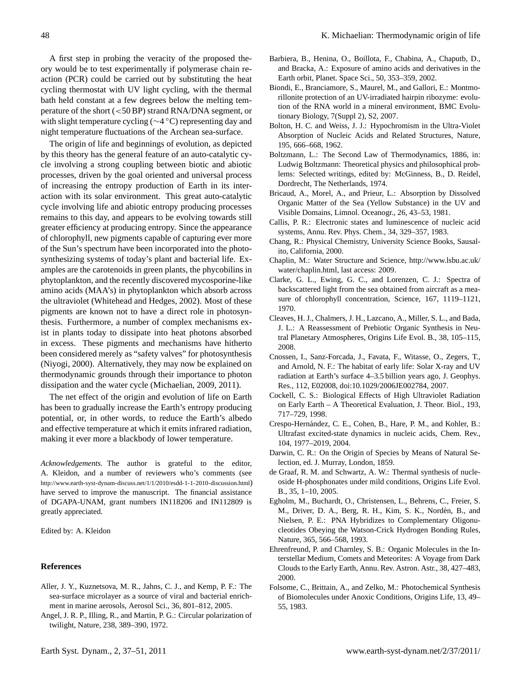A first step in probing the veracity of the proposed theory would be to test experimentally if polymerase chain reaction (PCR) could be carried out by substituting the heat cycling thermostat with UV light cycling, with the thermal bath held constant at a few degrees below the melting temperature of the short (<50 BP) strand RNA/DNA segment, or with slight temperature cycling (∼4 ◦C) representing day and night temperature fluctuations of the Archean sea-surface.

The origin of life and beginnings of evolution, as depicted by this theory has the general feature of an auto-catalytic cycle involving a strong coupling between biotic and abiotic processes, driven by the goal oriented and universal process of increasing the entropy production of Earth in its interaction with its solar environment. This great auto-catalytic cycle involving life and abiotic entropy producing processes remains to this day, and appears to be evolving towards still greater efficiency at producing entropy. Since the appearance of chlorophyll, new pigments capable of capturing ever more of the Sun's spectrum have been incorporated into the photosynthesizing systems of today's plant and bacterial life. Examples are the carotenoids in green plants, the phycobilins in phytoplankton, and the recently discovered mycosporine-like amino acids (MAA's) in phytoplankton which absorb across the ultraviolet (Whitehead and Hedges, 2002). Most of these pigments are known not to have a direct role in photosynthesis. Furthermore, a number of complex mechanisms exist in plants today to dissipate into heat photons absorbed in excess. These pigments and mechanisms have hitherto been considered merely as "safety valves" for photosynthesis (Niyogi, 2000). Alternatively, they may now be explained on thermodynamic grounds through their importance to photon dissipation and the water cycle (Michaelian, 2009, 2011).

The net effect of the origin and evolution of life on Earth has been to gradually increase the Earth's entropy producing potential, or, in other words, to reduce the Earth's albedo and effective temperature at which it emits infrared radiation, making it ever more a blackbody of lower temperature.

*Acknowledgements.* The author is grateful to the editor, A. Kleidon, and a number of reviewers who's comments (see [http://www.earth-syst-dynam-discuss.net/1/1/2010/esdd-1-1-2010-discussion.html\)](http://www.earth-syst-dynam-discuss.net/1/1/2010/esdd-1-1-2010-discussion.html) have served to improve the manuscript. The financial assistance of DGAPA-UNAM, grant numbers IN118206 and IN112809 is greatly appreciated.

Edited by: A. Kleidon

#### **References**

- Aller, J. Y., Kuznetsova, M. R., Jahns, C. J., and Kemp, P. F.: The sea-surface microlayer as a source of viral and bacterial enrichment in marine aerosols, Aerosol Sci., 36, 801–812, 2005.
- Angel, J. R. P., Illing, R., and Martin, P. G.: Circular polarization of twilight, Nature, 238, 389–390, 1972.
- Barbiera, B., Henina, O., Boillota, F., Chabina, A., Chaputb, D., and Bracka, A.: Exposure of amino acids and derivatives in the Earth orbit, Planet. Space Sci., 50, 353–359, 2002.
- Biondi, E., Branciamore, S., Maurel, M., and Gallori, E.: Montmorillonite protection of an UV-irradiated hairpin ribozyme: evolution of the RNA world in a mineral environment, BMC Evolutionary Biology, 7(Suppl 2), S2, 2007.
- Bolton, H. C. and Weiss, J. J.: Hypochromism in the Ultra-Violet Absorption of Nucleic Acids and Related Structures, Nature, 195, 666–668, 1962.
- Boltzmann, L.: The Second Law of Thermodynamics, 1886, in: Ludwig Boltzmann: Theoretical physics and philosophical problems: Selected writings, edited by: McGinness, B., D. Reidel, Dordrecht, The Netherlands, 1974.
- Bricaud, A., Morel, A., and Prieur, L.: Absorption by Dissolved Organic Matter of the Sea (Yellow Substance) in the UV and Visible Domains, Limnol. Oceanogr., 26, 43–53, 1981.
- Callis, P. R.: Electronic states and luminescence of nucleic acid systems, Annu. Rev. Phys. Chem., 34, 329–357, 1983.
- Chang, R.: Physical Chemistry, University Science Books, Sausalito, California, 2000.
- Chaplin, M.: Water Structure and Science, [http://www.lsbu.ac.uk/](http://www.lsbu.ac.uk/water/chaplin.html) [water/chaplin.html,](http://www.lsbu.ac.uk/water/chaplin.html) last access: 2009.
- Clarke, G. L., Ewing, G. C., and Lorenzen, C. J.: Spectra of backscattered light from the sea obtained from aircraft as a measure of chlorophyll concentration, Science, 167, 1119–1121, 1970.
- Cleaves, H. J., Chalmers, J. H., Lazcano, A., Miller, S. L., and Bada, J. L.: A Reassessment of Prebiotic Organic Synthesis in Neutral Planetary Atmospheres, Origins Life Evol. B., 38, 105–115, 2008.
- Cnossen, I., Sanz-Forcada, J., Favata, F., Witasse, O., Zegers, T., and Arnold, N. F.: The habitat of early life: Solar X-ray and UV radiation at Earth's surface 4–3.5 billion years ago, J. Geophys. Res., 112, E02008, [doi:10.1029/2006JE002784,](http://dx.doi.org/10.1029/2006JE002784) 2007.
- Cockell, C. S.: Biological Effects of High Ultraviolet Radiation on Early Earth – A Theoretical Evaluation, J. Theor. Biol., 193, 717–729, 1998.
- Crespo-Hernández, C. E., Cohen, B., Hare, P. M., and Kohler, B.: Ultrafast excited-state dynamics in nucleic acids, Chem. Rev., 104, 1977–2019, 2004.
- Darwin, C. R.: On the Origin of Species by Means of Natural Selection, ed. J. Murray, London, 1859.
- de Graaf, R. M. and Schwartz, A. W.: Thermal synthesis of nucleoside H-phosphonates under mild conditions, Origins Life Evol. B., 35, 1–10, 2005.
- Egholm, M., Buchardt, O., Christensen, L., Behrens, C., Freier, S. M., Driver, D. A., Berg, R. H., Kim, S. K., Nordén, B., and Nielsen, P. E.: PNA Hybridizes to Complementary Oligonucleotides Obeying the Watson-Crick Hydrogen Bonding Rules, Nature, 365, 566–568, 1993.
- Ehrenfreund, P. and Charnley, S. B.: Organic Molecules in the Interstellar Medium, Comets and Meteorites: A Voyage from Dark Clouds to the Early Earth, Annu. Rev. Astron. Astr., 38, 427–483, 2000.
- Folsome, C., Brittain, A., and Zelko, M.: Photochemical Synthesis of Biomolecules under Anoxic Conditions, Origins Life, 13, 49– 55, 1983.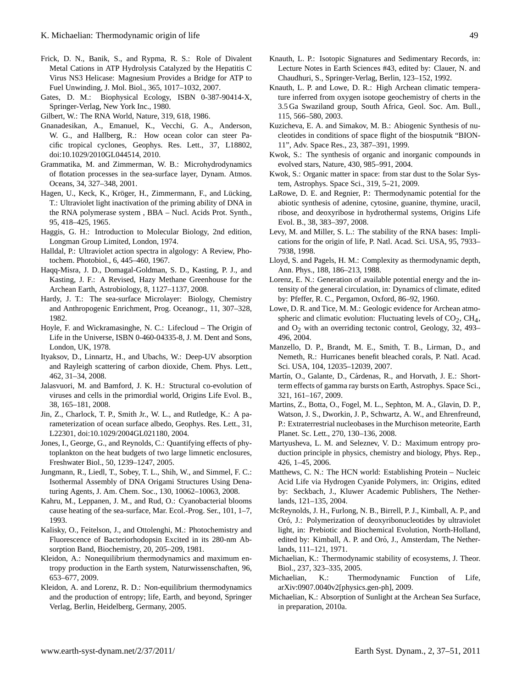- Frick, D. N., Banik, S., and Rypma, R. S.: Role of Divalent Metal Cations in ATP Hydrolysis Catalyzed by the Hepatitis C Virus NS3 Helicase: Magnesium Provides a Bridge for ATP to Fuel Unwinding, J. Mol. Biol., 365, 1017–1032, 2007.
- Gates, D. M.: Biophysical Ecology, ISBN 0-387-90414-X, Springer-Verlag, New York Inc., 1980.

Gilbert, W.: The RNA World, Nature, 319, 618, 1986.

- Gnanadesikan, A., Emanuel, K., Vecchi, G. A., Anderson, W. G., and Hallberg, R.: How ocean color can steer Pacific tropical cyclones, Geophys. Res. Lett., 37, L18802, [doi:10.1029/2010GL044514,](http://dx.doi.org/10.1029/2010GL044514) 2010.
- Grammatika, M. and Zimmerman, W. B.: Microhydrodynamics of flotation processes in the sea-surface layer, Dynam. Atmos. Oceans, 34, 327–348, 2001.
- Hagen, U., Keck, K., Kröger, H., Zimmermann, F., and Lücking, T.: Ultraviolet light inactivation of the priming ability of DNA in the RNA polymerase system , BBA – Nucl. Acids Prot. Synth., 95, 418–425, 1965.
- Haggis, G. H.: Introduction to Molecular Biology, 2nd edition, Longman Group Limited, London, 1974.
- Halldal, P.: Ultraviolet action spectra in algology: A Review, Photochem. Photobiol., 6, 445–460, 1967.
- Haqq-Misra, J. D., Domagal-Goldman, S. D., Kasting, P. J., and Kasting, J. F.: A Revised, Hazy Methane Greenhouse for the Archean Earth, Astrobiology, 8, 1127–1137, 2008.
- Hardy, J. T.: The sea-surface Microlayer: Biology, Chemistry and Anthropogenic Enrichment, Prog. Oceanogr., 11, 307–328, 1982.
- Hoyle, F. and Wickramasinghe, N. C.: Lifecloud The Origin of Life in the Universe, ISBN 0-460-04335-8, J. M. Dent and Sons, London, UK, 1978.
- Ityaksov, D., Linnartz, H., and Ubachs, W.: Deep-UV absorption and Rayleigh scattering of carbon dioxide, Chem. Phys. Lett., 462, 31–34, 2008.
- Jalasvuori, M. and Bamford, J. K. H.: Structural co-evolution of viruses and cells in the primordial world, Origins Life Evol. B., 38, 165–181, 2008.
- Jin, Z., Charlock, T. P., Smith Jr., W. L., and Rutledge, K.: A parameterization of ocean surface albedo, Geophys. Res. Lett., 31, L22301, [doi:10.1029/2004GL021180,](http://dx.doi.org/10.1029/2004GL021180) 2004.
- Jones, I., George, G., and Reynolds, C.: Quantifying effects of phytoplankton on the heat budgets of two large limnetic enclosures, Freshwater Biol., 50, 1239–1247, 2005.
- Jungmann, R., Liedl, T., Sobey, T. L., Shih, W., and Simmel, F. C.: Isothermal Assembly of DNA Origami Structures Using Denaturing Agents, J. Am. Chem. Soc., 130, 10062–10063, 2008.
- Kahru, M., Leppanen, J. M., and Rud, O.: Cyanobacterial blooms cause heating of the sea-surface, Mar. Ecol.-Prog. Ser., 101, 1–7, 1993.
- Kalisky, O., Feitelson, J., and Ottolenghi, M.: Photochemistry and Fluorescence of Bacteriorhodopsin Excited in its 280-nm Absorption Band, Biochemistry, 20, 205–209, 1981.
- Kleidon, A.: Nonequilibrium thermodynamics and maximum entropy production in the Earth system, Naturwissenschaften, 96, 653–677, 2009.
- Kleidon, A. and Lorenz, R. D.: Non-equilibrium thermodynamics and the production of entropy; life, Earth, and beyond, Springer Verlag, Berlin, Heidelberg, Germany, 2005.
- Knauth, L. P.: Isotopic Signatures and Sedimentary Records, in: Lecture Notes in Earth Sciences #43, edited by: Clauer, N. and Chaudhuri, S., Springer-Verlag, Berlin, 123–152, 1992.
- Knauth, L. P. and Lowe, D. R.: High Archean climatic temperature inferred from oxygen isotope geochemistry of cherts in the 3.5 Ga Swaziland group, South Africa, Geol. Soc. Am. Bull., 115, 566–580, 2003.
- Kuzicheva, E. A. and Simakov, M. B.: Abiogenic Synthesis of nucleotides in conditions of space flight of the biosputnik "BION-11", Adv. Space Res., 23, 387–391, 1999.
- Kwok, S.: The synthesis of organic and inorganic compounds in evolved stars, Nature, 430, 985–991, 2004.
- Kwok, S.: Organic matter in space: from star dust to the Solar System, Astrophys. Space Sci., 319, 5–21, 2009.
- LaRowe, D. E. and Regnier, P.: Thermodynamic potential for the abiotic synthesis of adenine, cytosine, guanine, thymine, uracil, ribose, and deoxyribose in hydrothermal systems, Origins Life Evol. B., 38, 383–397, 2008.
- Levy, M. and Miller, S. L.: The stability of the RNA bases: Implications for the origin of life, P. Natl. Acad. Sci. USA, 95, 7933– 7938, 1998.
- Lloyd, S. and Pagels, H. M.: Complexity as thermodynamic depth, Ann. Phys., 188, 186–213, 1988.
- Lorenz, E. N.: Generation of available potential energy and the intensity of the general circulation, in: Dynamics of climate, edited by: Pfeffer, R. C., Pergamon, Oxford, 86–92, 1960.
- Lowe, D. R. and Tice, M. M.: Geologic evidence for Archean atmospheric and climatic evolution: Fluctuating levels of  $CO<sub>2</sub>$ ,  $CH<sub>4</sub>$ , and  $O_2$  with an overriding tectonic control, Geology, 32, 493– 496, 2004.
- Manzello, D. P., Brandt, M. E., Smith, T. B., Lirman, D., and Nemeth, R.: Hurricanes benefit bleached corals, P. Natl. Acad. Sci. USA, 104, 12035–12039, 2007.
- Martín, O., Galante, D., Cárdenas, R., and Horvath, J. E.: Shortterm effects of gamma ray bursts on Earth, Astrophys. Space Sci., 321, 161–167, 2009.
- Martins, Z., Botta, O., Fogel, M. L., Sephton, M. A., Glavin, D. P., Watson, J. S., Dworkin, J. P., Schwartz, A. W., and Ehrenfreund, P.: Extraterrestrial nucleobases in the Murchison meteorite, Earth Planet. Sc. Lett., 270, 130–136, 2008.
- Martyusheva, L. M. and Seleznev, V. D.: Maximum entropy production principle in physics, chemistry and biology, Phys. Rep., 426, 1–45, 2006.
- Matthews, C. N.: The HCN world: Establishing Protein Nucleic Acid Life via Hydrogen Cyanide Polymers, in: Origins, edited by: Seckbach, J., Kluwer Academic Publishers, The Netherlands, 121–135, 2004.
- McReynolds, J. H., Furlong, N. B., Birrell, P. J., Kimball, A. P., and Oró, J.: Polymerization of deoxyribonucleotides by ultraviolet light, in: Prebiotic and Biochemical Evolution, North-Holland, edited by: Kimball, A. P. and Oró, J., Amsterdam, The Netherlands, 111–121, 1971.
- Michaelian, K.: Thermodynamic stability of ecosystems, J. Theor. Biol., 237, 323–335, 2005.
- Michaelian, K.: Thermodynamic Function of Life, arXiv:0907.0040v2[physics.gen-ph], 2009.
- Michaelian, K.: Absorption of Sunlight at the Archean Sea Surface, in preparation, 2010a.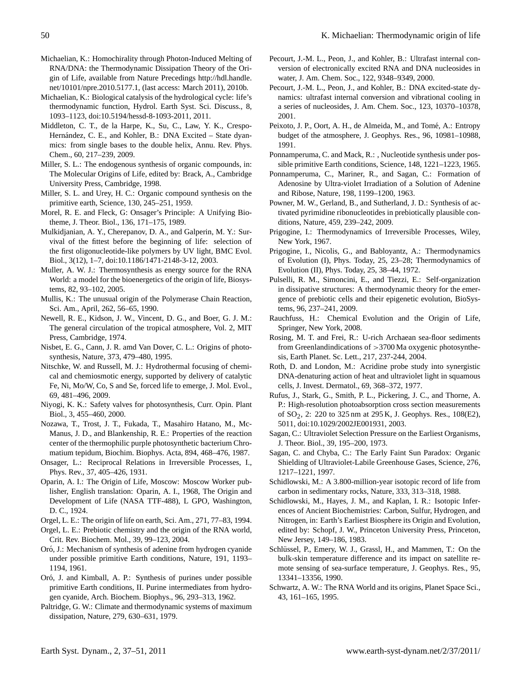- Michaelian, K.: Homochirality through Photon-Induced Melting of RNA/DNA: the Thermodynamic Dissipation Theory of the Origin of Life, available from Nature Precedings [http://hdl.handle.](http://hdl.handle.net/10101/npre.2010.5177.1) [net/10101/npre.2010.5177.1,](http://hdl.handle.net/10101/npre.2010.5177.1) (last access: March 2011), 2010b.
- Michaelian, K.: Biological catalysis of the hydrological cycle: life's thermodynamic function, Hydrol. Earth Syst. Sci. Discuss., 8, 1093–1123, [doi:10.5194/hessd-8-1093-2011,](http://dx.doi.org/10.5194/hessd-8-1093-2011) 2011.
- Middleton, C. T., de la Harpe, K., Su, C., Law, Y. K., Crespo-Hernández, C. E., and Kohler, B.: DNA Excited - State dyanmics: from single bases to the double helix, Annu. Rev. Phys. Chem., 60, 217–239, 2009.
- Miller, S. L.: The endogenous synthesis of organic compounds, in: The Molecular Origins of Life, edited by: Brack, A., Cambridge University Press, Cambridge, 1998.
- Miller, S. L. and Urey, H. C.: Organic compound synthesis on the primitive earth, Science, 130, 245–251, 1959.
- Morel, R. E. and Fleck, G: Onsager's Principle: A Unifying Biotheme, J. Theor. Biol., 136, 171–175, 1989.
- Mulkidjanian, A. Y., Cherepanov, D. A., and Galperin, M. Y.: Survival of the fittest before the beginning of life: selection of the first oligonucleotide-like polymers by UV light, BMC Evol. Biol., 3(12), 1–7, [doi:10.1186/1471-2148-3-12,](http://dx.doi.org/10.1186/1471-2148-3-12) 2003.
- Muller, A. W. J.: Thermosynthesis as energy source for the RNA World: a model for the bioenergetics of the origin of life, Biosystems, 82, 93–102, 2005.
- Mullis, K.: The unusual origin of the Polymerase Chain Reaction, Sci. Am., April, 262, 56–65, 1990.
- Newell, R. E., Kidson, J. W., Vincent, D. G., and Boer, G. J. M.: The general circulation of the tropical atmosphere, Vol. 2, MIT Press, Cambridge, 1974.
- Nisbet, E. G., Cann, J. R. amd Van Dover, C. L.: Origins of photosynthesis, Nature, 373, 479–480, 1995.
- Nitschke, W. and Russell, M. J.: Hydrothermal focusing of chemical and chemiosmotic energy, supported by delivery of catalytic Fe, Ni, Mo/W, Co, S and Se, forced life to emerge, J. Mol. Evol., 69, 481–496, 2009.
- Niyogi, K. K.: Safety valves for photosynthesis, Curr. Opin. Plant Biol., 3, 455–460, 2000.
- Nozawa, T., Trost, J. T., Fukada, T., Masahiro Hatano, M., Mc-Manus, J. D., and Blankenship, R. E.: Properties of the reaction center of the thermophilic purple photosynthetic bacterium Chromatium tepidum, Biochim. Biophys. Acta, 894, 468–476, 1987.
- Onsager, L.: Reciprocal Relations in Irreversible Processes, I., Phys. Rev., 37, 405–426, 1931.
- Oparin, A. I.: The Origin of Life, Moscow: Moscow Worker publisher, English translation: Oparin, A. I., 1968, The Origin and Development of Life (NASA TTF-488), L GPO, Washington, D. C., 1924.
- Orgel, L. E.: The origin of life on earth, Sci. Am., 271, 77–83, 1994.
- Orgel, L. E.: Prebiotic chemistry and the origin of the RNA world, Crit. Rev. Biochem. Mol., 39, 99–123, 2004.
- Oró, J.: Mechanism of synthesis of adenine from hydrogen cyanide under possible primitive Earth conditions, Nature, 191, 1193– 1194, 1961.
- Oró, J. and Kimball, A. P.: Synthesis of purines under possible primitive Earth conditions, II. Purine intermediates from hydrogen cyanide, Arch. Biochem. Biophys., 96, 293–313, 1962.
- Paltridge, G. W.: Climate and thermodynamic systems of maximum dissipation, Nature, 279, 630–631, 1979.
- Pecourt, J.-M. L., Peon, J., and Kohler, B.: Ultrafast internal conversion of electronically excited RNA and DNA nucleosides in water, J. Am. Chem. Soc., 122, 9348–9349, 2000.
- Pecourt, J.-M. L., Peon, J., and Kohler, B.: DNA excited-state dynamics: ultrafast internal conversion and vibrational cooling in a series of nucleosides, J. Am. Chem. Soc., 123, 10370–10378, 2001.
- Peixoto, J. P., Oort, A. H., de Almeida, M., and Tomé, A.: Entropy budget of the atmosphere, J. Geophys. Res., 96, 10981–10988, 1991.
- Ponnamperuma, C. and Mack, R.: , Nucleotide synthesis under possible primitive Earth conditions, Science, 148, 1221–1223, 1965.
- Ponnamperuma, C., Mariner, R., and Sagan, C.: Formation of Adenosine by Ultra-violet Irradiation of a Solution of Adenine and Ribose, Nature, 198, 1199–1200, 1963.
- Powner, M. W., Gerland, B., and Sutherland, J. D.: Synthesis of activated pyrimidine ribonucleotides in prebiotically plausible conditions, Nature, 459, 239–242, 2009.
- Prigogine, I.: Thermodynamics of Irreversible Processes, Wiley, New York, 1967.
- Prigogine, I., Nicolis, G., and Babloyantz, A.: Thermodynamics of Evolution (I), Phys. Today, 25, 23–28; Thermodynamics of Evolution (II), Phys. Today, 25, 38–44, 1972.
- Pulselli, R. M., Simoncini, E., and Tiezzi, E.: Self-organization in dissipative structures: A thermodynamic theory for the emergence of prebiotic cells and their epigenetic evolution, BioSystems, 96, 237–241, 2009.
- Rauchfuss, H.: Chemical Evolution and the Origin of Life, Springer, New York, 2008.
- Rosing, M. T. and Frei, R.: U-rich Archaean sea-floor sediments from Greenlandindications of >3700 Ma oxygenic photosynthesis, Earth Planet. Sc. Lett., 217, 237-244, 2004.
- Roth, D. and London, M.: Acridine probe study into synergistic DNA-denaturing action of heat and ultraviolet light in squamous cells, J. Invest. Dermatol., 69, 368–372, 1977.
- Rufus, J., Stark, G., Smith, P. L., Pickering, J. C., and Thorne, A. P.: High-resolution photoabsorption cross section measurements of SO2, 2: 220 to 325 nm at 295 K, J. Geophys. Res., 108(E2), 5011, [doi:10.1029/2002JE001931,](http://dx.doi.org/10.1029/2002JE001931) 2003.
- Sagan, C.: Ultraviolet Selection Pressure on the Earliest Organisms, J. Theor. Biol., 39, 195–200, 1973.
- Sagan, C. and Chyba, C.: The Early Faint Sun Paradox: Organic Shielding of Ultraviolet-Labile Greenhouse Gases, Science, 276, 1217–1221, 1997.
- Schidlowski, M.: A 3.800-million-year isotopic record of life from carbon in sedimentary rocks, Nature, 333, 313–318, 1988.
- Schidlowski, M., Hayes, J. M., and Kaplan, I. R.: Isotopic Inferences of Ancient Biochemistries: Carbon, Sulfur, Hydrogen, and Nitrogen, in: Earth's Earliest Biosphere its Origin and Evolution, edited by: Schopf, J. W., Princeton University Press, Princeton, New Jersey, 149–186, 1983.
- Schlüssel, P., Emery, W. J., Grassl, H., and Mammen, T.: On the bulk-skin temperature difference and its impact on satellite remote sensing of sea-surface temperature, J. Geophys. Res., 95, 13341–13356, 1990.
- Schwartz, A. W.: The RNA World and its origins, Planet Space Sci., 43, 161–165, 1995.